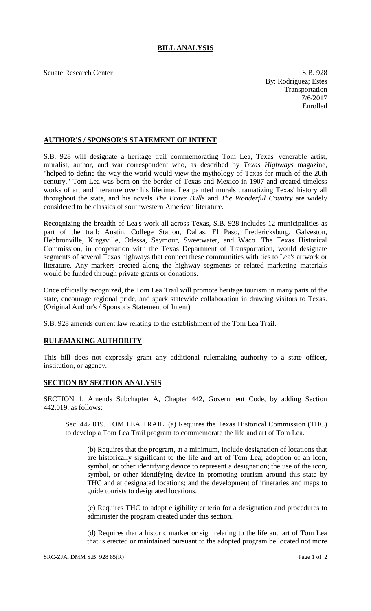## **BILL ANALYSIS**

Senate Research Center S.B. 928

By: Rodríguez; Estes Transportation 7/6/2017 Enrolled

## **AUTHOR'S / SPONSOR'S STATEMENT OF INTENT**

S.B. 928 will designate a heritage trail commemorating Tom Lea, Texas' venerable artist, muralist, author, and war correspondent who, as described by *Texas Highways* magazine, "helped to define the way the world would view the mythology of Texas for much of the 20th century." Tom Lea was born on the border of Texas and Mexico in 1907 and created timeless works of art and literature over his lifetime. Lea painted murals dramatizing Texas' history all throughout the state, and his novels *The Brave Bulls* and *The Wonderful Country* are widely considered to be classics of southwestern American literature.

Recognizing the breadth of Lea's work all across Texas, S.B. 928 includes 12 municipalities as part of the trail: Austin, College Station, Dallas, El Paso, Fredericksburg, Galveston, Hebbronville, Kingsville, Odessa, Seymour, Sweetwater, and Waco. The Texas Historical Commission, in cooperation with the Texas Department of Transportation, would designate segments of several Texas highways that connect these communities with ties to Lea's artwork or literature. Any markers erected along the highway segments or related marketing materials would be funded through private grants or donations.

Once officially recognized, the Tom Lea Trail will promote heritage tourism in many parts of the state, encourage regional pride, and spark statewide collaboration in drawing visitors to Texas. (Original Author's / Sponsor's Statement of Intent)

S.B. 928 amends current law relating to the establishment of the Tom Lea Trail.

## **RULEMAKING AUTHORITY**

This bill does not expressly grant any additional rulemaking authority to a state officer, institution, or agency.

## **SECTION BY SECTION ANALYSIS**

SECTION 1. Amends Subchapter A, Chapter 442, Government Code, by adding Section 442.019, as follows:

Sec. 442.019. TOM LEA TRAIL. (a) Requires the Texas Historical Commission (THC) to develop a Tom Lea Trail program to commemorate the life and art of Tom Lea.

(b) Requires that the program, at a minimum, include designation of locations that are historically significant to the life and art of Tom Lea; adoption of an icon, symbol, or other identifying device to represent a designation; the use of the icon, symbol, or other identifying device in promoting tourism around this state by THC and at designated locations; and the development of itineraries and maps to guide tourists to designated locations.

(c) Requires THC to adopt eligibility criteria for a designation and procedures to administer the program created under this section.

(d) Requires that a historic marker or sign relating to the life and art of Tom Lea that is erected or maintained pursuant to the adopted program be located not more